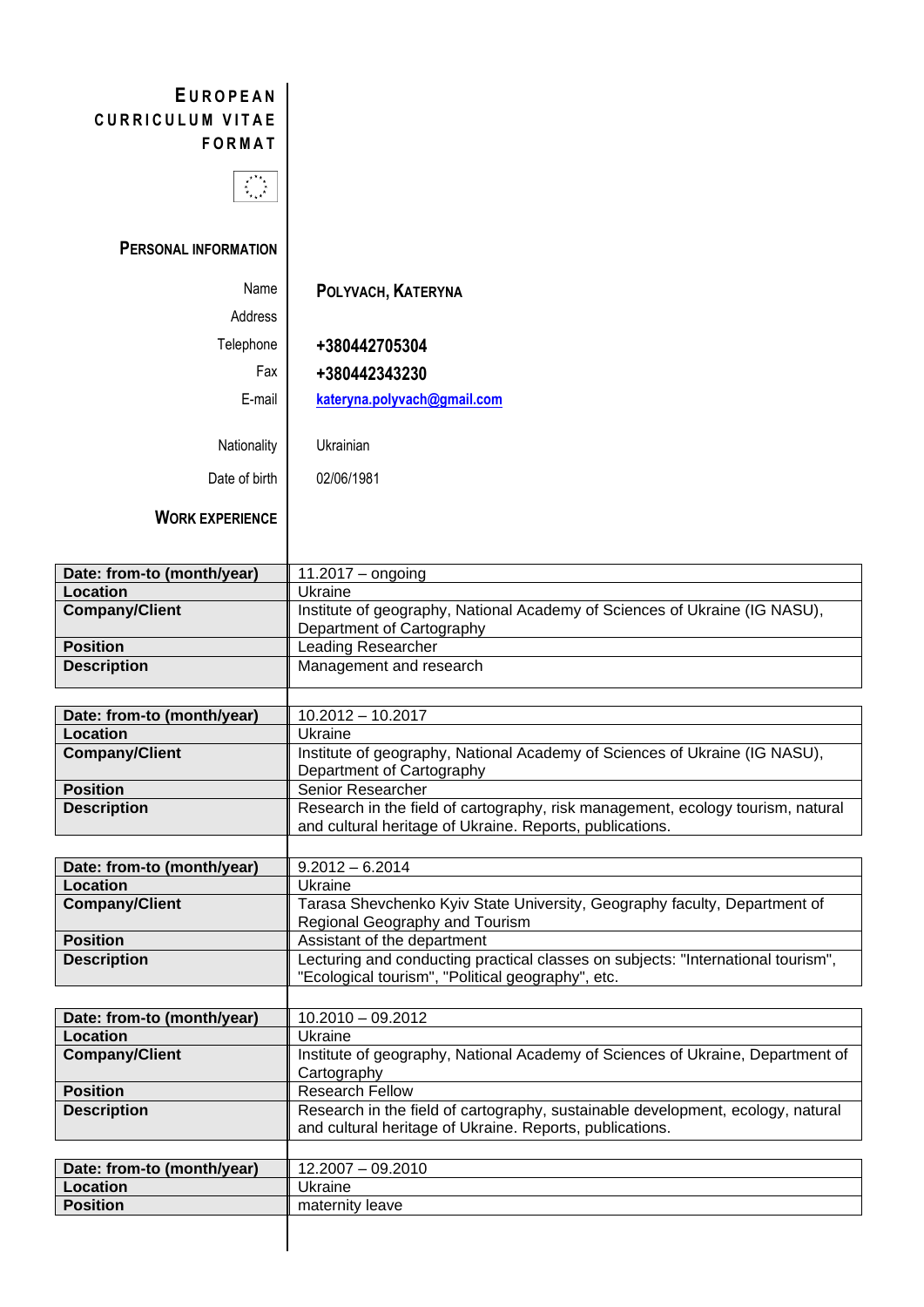## **E U R O P E A N** CURRICULUM VITAE **F O R M A T**



## **PERSONAL INFORMATION**

| Name          | POLYVACH, KATERYNA          |
|---------------|-----------------------------|
| Address       |                             |
| Telephone     | +380442705304               |
| Fax           | +380442343230               |
| E-mail        | kateryna.polyvach@gmail.com |
|               |                             |
| Nationality   | Ukrainian                   |
| Date of birth | 02/06/1981                  |
|               |                             |

**WORK EXPERIENCE**

| Date: from-to (month/year) | $11.2017 -$ ongoing                                                                                                                         |
|----------------------------|---------------------------------------------------------------------------------------------------------------------------------------------|
| Location                   | Ukraine                                                                                                                                     |
| <b>Company/Client</b>      | Institute of geography, National Academy of Sciences of Ukraine (IG NASU),<br>Department of Cartography                                     |
| <b>Position</b>            | <b>Leading Researcher</b>                                                                                                                   |
| <b>Description</b>         | Management and research                                                                                                                     |
|                            |                                                                                                                                             |
| Date: from-to (month/year) | $10.2012 - 10.2017$                                                                                                                         |
| <b>Location</b>            | Ukraine                                                                                                                                     |
| <b>Company/Client</b>      | Institute of geography, National Academy of Sciences of Ukraine (IG NASU),<br>Department of Cartography                                     |
| <b>Position</b>            | Senior Researcher                                                                                                                           |
| <b>Description</b>         | Research in the field of cartography, risk management, ecology tourism, natural<br>and cultural heritage of Ukraine. Reports, publications. |
|                            |                                                                                                                                             |
| Date: from-to (month/year) | $9.2012 - 6.2014$                                                                                                                           |
| <b>Location</b>            | Ukraine                                                                                                                                     |
| <b>Company/Client</b>      | Tarasa Shevchenko Kyiv State University, Geography faculty, Department of<br>Regional Geography and Tourism                                 |
| <b>Position</b>            | Assistant of the department                                                                                                                 |
| <b>Description</b>         | Lecturing and conducting practical classes on subjects: "International tourism",<br>"Ecological tourism", "Political geography", etc.       |
|                            |                                                                                                                                             |
| Date: from-to (month/year) | $10.2010 - 09.2012$                                                                                                                         |
| <b>Location</b>            | Ukraine                                                                                                                                     |
| <b>Company/Client</b>      | Institute of geography, National Academy of Sciences of Ukraine, Department of<br>Cartography                                               |
| <b>Position</b>            | <b>Research Fellow</b>                                                                                                                      |
| <b>Description</b>         | Research in the field of cartography, sustainable development, ecology, natural<br>and cultural heritage of Ukraine. Reports, publications. |
|                            |                                                                                                                                             |
| Date: from-to (month/year) | $12.2007 - 09.2010$                                                                                                                         |
| <b>Location</b>            | Ukraine                                                                                                                                     |
| <b>Position</b>            | maternity leave                                                                                                                             |
|                            |                                                                                                                                             |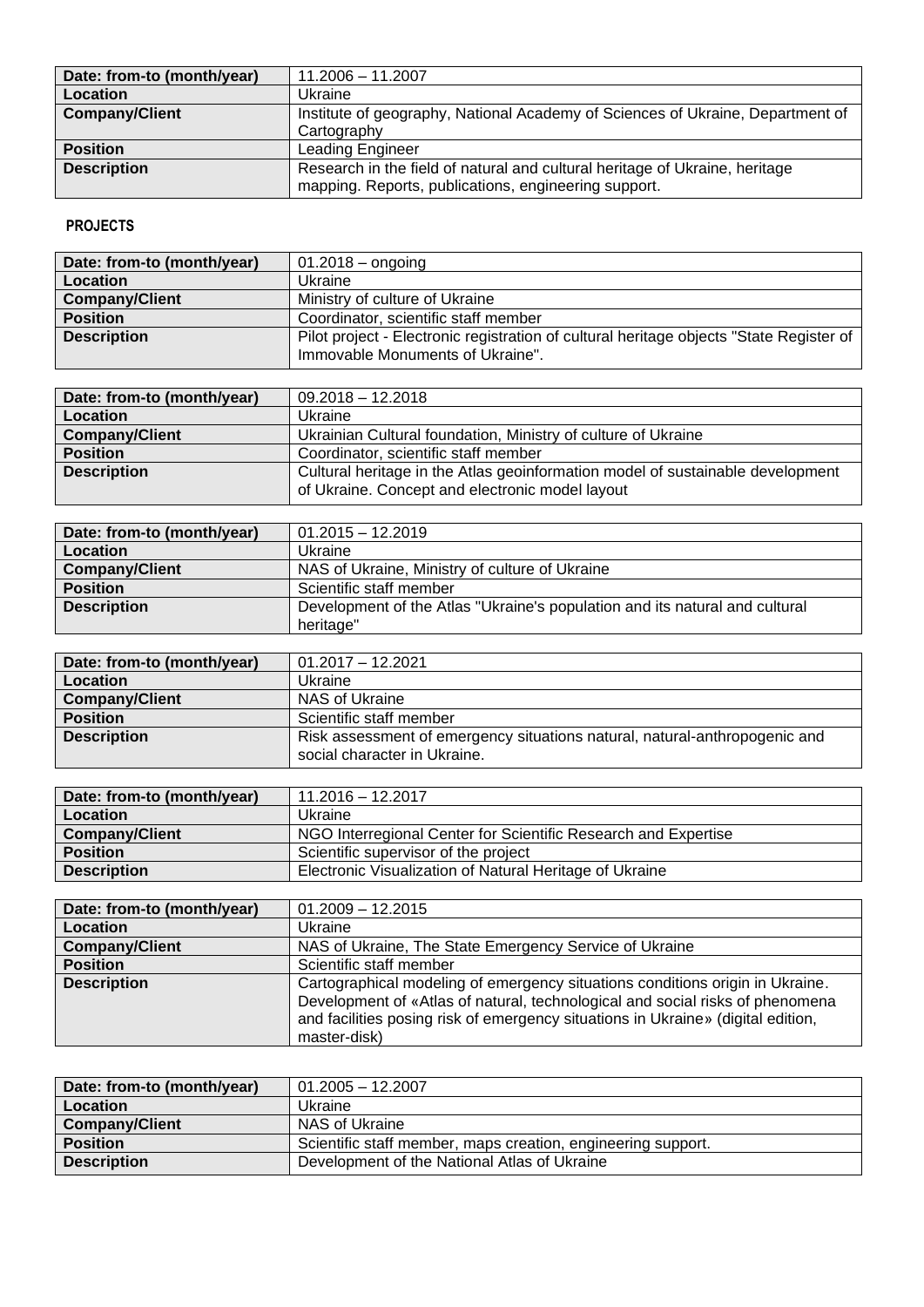| Date: from-to (month/year) | 11.2006 - 11.2007                                                              |
|----------------------------|--------------------------------------------------------------------------------|
| Location                   | Ukraine                                                                        |
| <b>Company/Client</b>      | Institute of geography, National Academy of Sciences of Ukraine, Department of |
|                            | Cartography                                                                    |
| <b>Position</b>            | <b>Leading Engineer</b>                                                        |
| <b>Description</b>         | Research in the field of natural and cultural heritage of Ukraine, heritage    |
|                            | mapping. Reports, publications, engineering support.                           |

## **PROJECTS**

| Date: from-to (month/year) | $01.2018 -$ ongoing                                                                     |
|----------------------------|-----------------------------------------------------------------------------------------|
| Location                   | Ukraine                                                                                 |
| <b>Company/Client</b>      | Ministry of culture of Ukraine                                                          |
| <b>Position</b>            | Coordinator, scientific staff member                                                    |
| <b>Description</b>         | Pilot project - Electronic registration of cultural heritage objects "State Register of |
|                            | Immovable Monuments of Ukraine".                                                        |

| Date: from-to (month/year) | $09.2018 - 12.2018$                                                                                                               |
|----------------------------|-----------------------------------------------------------------------------------------------------------------------------------|
| Location                   | Ukraine                                                                                                                           |
| <b>Company/Client</b>      | Ukrainian Cultural foundation, Ministry of culture of Ukraine                                                                     |
| <b>Position</b>            | Coordinator, scientific staff member                                                                                              |
| <b>Description</b>         | Cultural heritage in the Atlas geoinformation model of sustainable development<br>of Ukraine. Concept and electronic model layout |

| Date: from-to (month/year) | $01.2015 - 12.2019$                                                         |
|----------------------------|-----------------------------------------------------------------------------|
| Location                   | Ukraine                                                                     |
| <b>Company/Client</b>      | NAS of Ukraine, Ministry of culture of Ukraine                              |
| <b>Position</b>            | Scientific staff member                                                     |
| <b>Description</b>         | Development of the Atlas "Ukraine's population and its natural and cultural |
|                            | heritage"                                                                   |

| Date: from-to (month/year) | $01.2017 - 12.2021$                                                                                        |
|----------------------------|------------------------------------------------------------------------------------------------------------|
| Location                   | Ukraine                                                                                                    |
| <b>Company/Client</b>      | NAS of Ukraine                                                                                             |
| <b>Position</b>            | Scientific staff member                                                                                    |
| <b>Description</b>         | Risk assessment of emergency situations natural, natural-anthropogenic and<br>social character in Ukraine. |

| Date: from-to (month/year) | 11.2016 - 12.2017                                              |
|----------------------------|----------------------------------------------------------------|
| Location                   | Ukraine                                                        |
| Company/Client             | NGO Interregional Center for Scientific Research and Expertise |
| <b>Position</b>            | Scientific supervisor of the project                           |
| <b>Description</b>         | Electronic Visualization of Natural Heritage of Ukraine        |

| Date: from-to (month/year) | $01.2009 - 12.2015$                                                              |
|----------------------------|----------------------------------------------------------------------------------|
| Location                   | Ukraine                                                                          |
| <b>Company/Client</b>      | NAS of Ukraine, The State Emergency Service of Ukraine                           |
| <b>Position</b>            | Scientific staff member                                                          |
| <b>Description</b>         | Cartographical modeling of emergency situations conditions origin in Ukraine.    |
|                            | Development of «Atlas of natural, technological and social risks of phenomena    |
|                            | and facilities posing risk of emergency situations in Ukraine» (digital edition, |
|                            | master-disk)                                                                     |

| Date: from-to (month/year) | $01.2005 - 12.2007$                                          |
|----------------------------|--------------------------------------------------------------|
| Location                   | Ukraine                                                      |
| <b>Company/Client</b>      | NAS of Ukraine                                               |
| <b>Position</b>            | Scientific staff member, maps creation, engineering support. |
| <b>Description</b>         | Development of the National Atlas of Ukraine                 |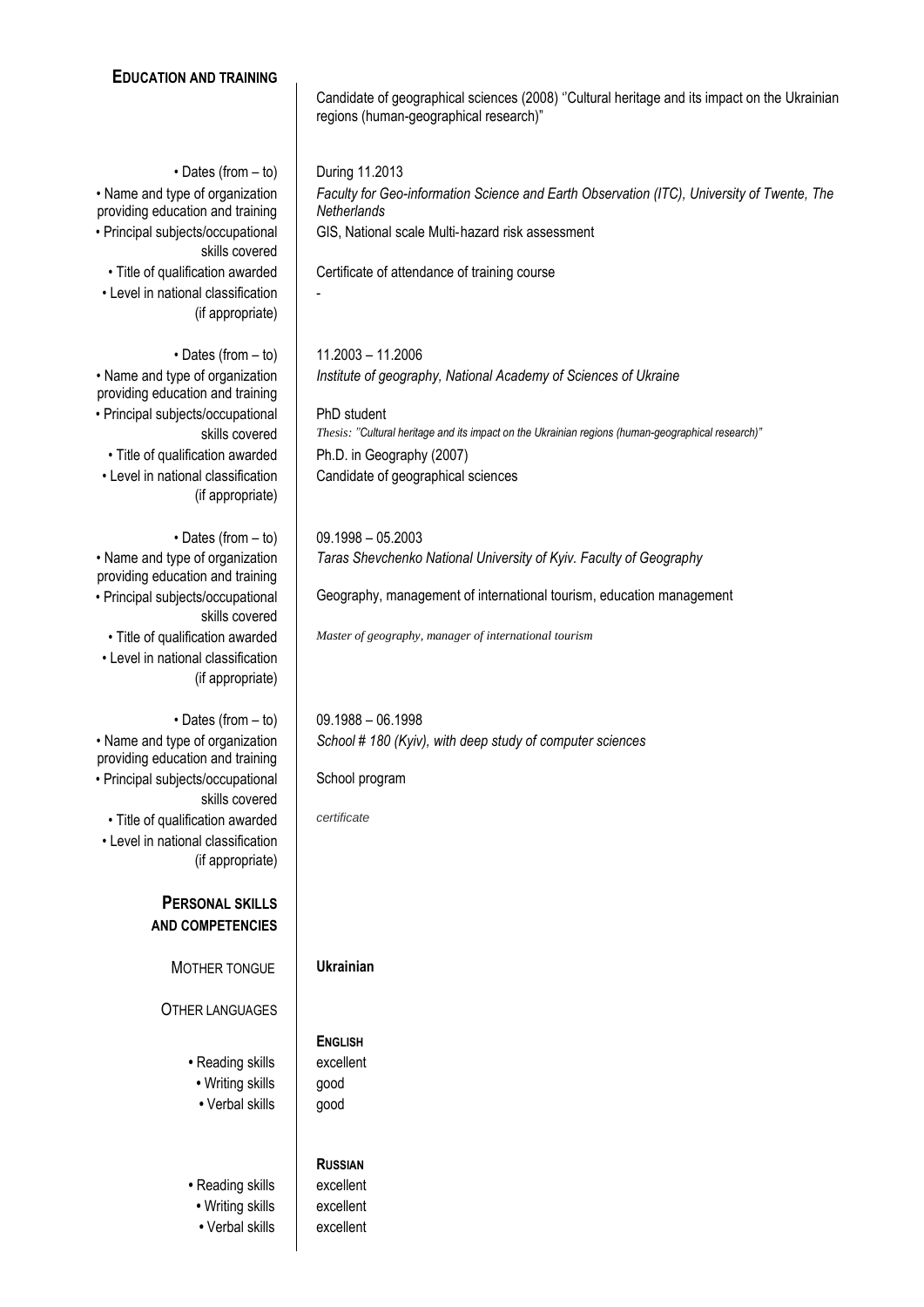| <b>EDUCATION AND TRAINING</b>                                          |                                                                                                                                        |
|------------------------------------------------------------------------|----------------------------------------------------------------------------------------------------------------------------------------|
|                                                                        | Candidate of geographical sciences (2008) "Cultural heritage and its impact on the Ukrainian<br>regions (human-geographical research)" |
|                                                                        |                                                                                                                                        |
| $\cdot$ Dates (from $-$ to)<br>• Name and type of organization         | During 11.2013<br>Faculty for Geo-information Science and Earth Observation (ITC), University of Twente, The                           |
| providing education and training                                       | Netherlands                                                                                                                            |
| • Principal subjects/occupational<br>skills covered                    | GIS, National scale Multi-hazard risk assessment                                                                                       |
| · Title of qualification awarded<br>• Level in national classification | Certificate of attendance of training course                                                                                           |
| (if appropriate)                                                       |                                                                                                                                        |
| $\cdot$ Dates (from $-$ to)                                            | 11.2003 - 11.2006                                                                                                                      |
| • Name and type of organization<br>providing education and training    | Institute of geography, National Academy of Sciences of Ukraine                                                                        |
| • Principal subjects/occupational<br>skills covered                    | PhD student<br>Thesis: "Cultural heritage and its impact on the Ukrainian regions (human-geographical research)"                       |
| • Title of qualification awarded                                       | Ph.D. in Geography (2007)                                                                                                              |
| • Level in national classification<br>(if appropriate)                 | Candidate of geographical sciences                                                                                                     |
| $\cdot$ Dates (from $-$ to)                                            | $09.1998 - 05.2003$                                                                                                                    |
| • Name and type of organization                                        | Taras Shevchenko National University of Kyiv. Faculty of Geography                                                                     |
| providing education and training<br>• Principal subjects/occupational  | Geography, management of international tourism, education management                                                                   |
| skills covered                                                         |                                                                                                                                        |
| • Title of qualification awarded<br>• Level in national classification | Master of geography, manager of international tourism                                                                                  |
| (if appropriate)                                                       |                                                                                                                                        |
| $\cdot$ Dates (from $-$ to)                                            | $09.1988 - 06.1998$                                                                                                                    |
| • Name and type of organization<br>providing education and training    | School # 180 (Kyiv), with deep study of computer sciences                                                                              |
| · Principal subjects/occupational<br>skills covered                    | School program                                                                                                                         |
| • Title of qualification awarded                                       | certificate                                                                                                                            |
| • Level in national classification<br>(if appropriate)                 |                                                                                                                                        |
| <b>PERSONAL SKILLS</b>                                                 |                                                                                                                                        |
| <b>AND COMPETENCIES</b>                                                |                                                                                                                                        |
| MOTHER TONGUE                                                          | <b>Ukrainian</b>                                                                                                                       |
| <b>OTHER LANGUAGES</b>                                                 |                                                                                                                                        |
| • Reading skills                                                       | <b>ENGLISH</b><br>excellent                                                                                                            |
| • Writing skills                                                       | good                                                                                                                                   |
| • Verbal skills                                                        | good                                                                                                                                   |
|                                                                        | <b>RUSSIAN</b>                                                                                                                         |
| • Reading skills                                                       | excellent                                                                                                                              |
| • Writing skills<br>• Verbal skills                                    | excellent<br>excellent                                                                                                                 |
|                                                                        |                                                                                                                                        |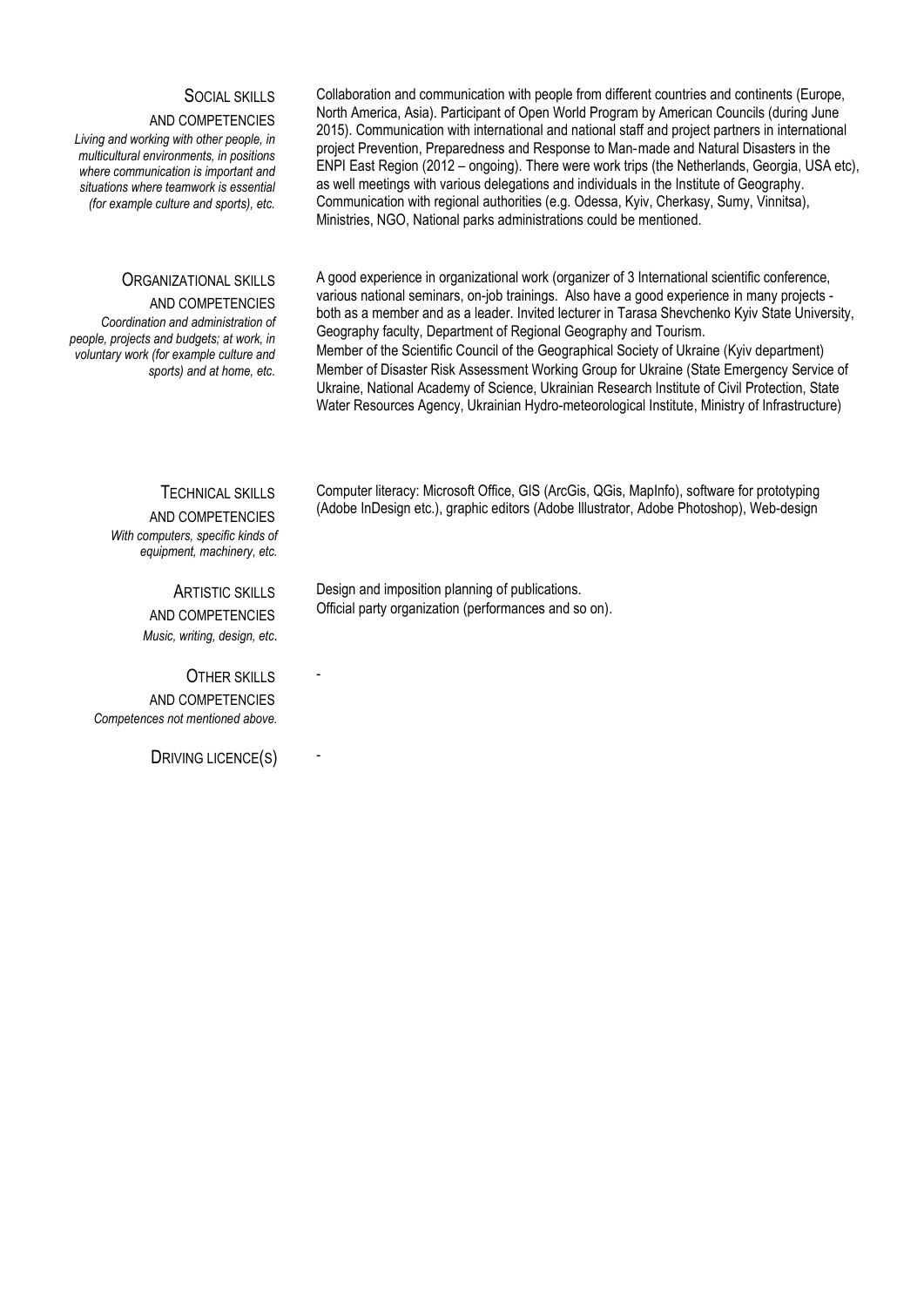| <b>SOCIAL SKILLS</b><br>AND COMPETENCIES<br>Living and working with other people, in<br>multicultural environments, in positions<br>where communication is important and<br>situations where teamwork is essential<br>(for example culture and sports), etc. | Collaboration and communication with people from different countries and continents (Europe,<br>North America, Asia). Participant of Open World Program by American Councils (during June<br>2015). Communication with international and national staff and project partners in international<br>project Prevention, Preparedness and Response to Man-made and Natural Disasters in the<br>ENPI East Region (2012 – ongoing). There were work trips (the Netherlands, Georgia, USA etc),<br>as well meetings with various delegations and individuals in the Institute of Geography.<br>Communication with regional authorities (e.g. Odessa, Kyiv, Cherkasy, Sumy, Vinnitsa),<br>Ministries, NGO, National parks administrations could be mentioned.         |
|--------------------------------------------------------------------------------------------------------------------------------------------------------------------------------------------------------------------------------------------------------------|---------------------------------------------------------------------------------------------------------------------------------------------------------------------------------------------------------------------------------------------------------------------------------------------------------------------------------------------------------------------------------------------------------------------------------------------------------------------------------------------------------------------------------------------------------------------------------------------------------------------------------------------------------------------------------------------------------------------------------------------------------------|
| <b>ORGANIZATIONAL SKILLS</b><br>AND COMPETENCIES<br>Coordination and administration of<br>people, projects and budgets; at work, in<br>voluntary work (for example culture and<br>sports) and at home, etc.                                                  | A good experience in organizational work (organizer of 3 International scientific conference,<br>various national seminars, on-job trainings. Also have a good experience in many projects -<br>both as a member and as a leader. Invited lecturer in Tarasa Shevchenko Kyiv State University,<br>Geography faculty, Department of Regional Geography and Tourism.<br>Member of the Scientific Council of the Geographical Society of Ukraine (Kyiv department)<br>Member of Disaster Risk Assessment Working Group for Ukraine (State Emergency Service of<br>Ukraine, National Academy of Science, Ukrainian Research Institute of Civil Protection, State<br>Water Resources Agency, Ukrainian Hydro-meteorological Institute, Ministry of Infrastructure) |
| <b>TECHNICAL SKILLS</b><br>AND COMPETENCIES<br>With computers, specific kinds of<br>equipment, machinery, etc.                                                                                                                                               | Computer literacy: Microsoft Office, GIS (ArcGis, QGis, MapInfo), software for prototyping<br>(Adobe InDesign etc.), graphic editors (Adobe Illustrator, Adobe Photoshop), Web-design                                                                                                                                                                                                                                                                                                                                                                                                                                                                                                                                                                         |
| <b>ARTISTIC SKILLS</b><br>AND COMPETENCIES                                                                                                                                                                                                                   | Design and imposition planning of publications.<br>Official party organization (performances and so on).                                                                                                                                                                                                                                                                                                                                                                                                                                                                                                                                                                                                                                                      |

OTHER SKILLS AND COMPETENCIES *Competences not mentioned above.*

DRIVING LICENCE(S)

*Music, writing, design, etc*.

-

-